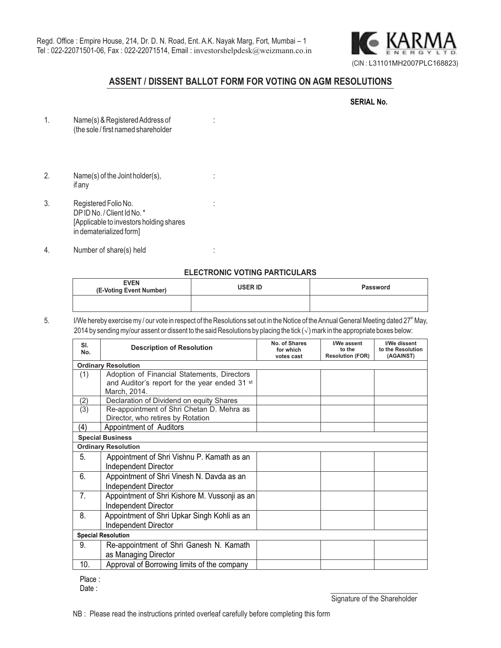

**SERIAL No.**

## **ASSENT / DISSENT BALLOT FORM FOR VOTING ON AGM RESOLUTIONS**

| 1 | Name(s) & Registered Address of<br>(the sole / first named shareholder |  |
|---|------------------------------------------------------------------------|--|
|   |                                                                        |  |

- 2. Name(s) of the Joint holder(s),  $\cdot$  : if any
- 3. Registered Folio No. : DPID No. / Client Id No. \* [Applicable to investors holding shares in dematerialized form]
- 4. Number of share(s) held :

### **ELECTRONIC VOTING PARTICULARS**

| <b>EVEN</b><br>(E-Voting Event Number) | USER ID | <b>Password</b> |  |
|----------------------------------------|---------|-----------------|--|
|                                        |         |                 |  |

5. I/We hereby exercise my / our vote in respect of the Resolutions set out in the Notice of the Annual General Meeting dated 27<sup>th</sup> May, 2014 by sending my/our assent or dissent to the said Resolutions by placing the tick (√) mark in the appropriate boxes below:

| SI.<br>No.                 | <b>Description of Resolution</b>              | No. of Shares<br>for which<br>votes cast | I/We assent<br>to the<br><b>Resolution (FOR)</b> | I/We dissent<br>to the Resolution<br>(AGAINST) |  |  |  |
|----------------------------|-----------------------------------------------|------------------------------------------|--------------------------------------------------|------------------------------------------------|--|--|--|
| <b>Ordinary Resolution</b> |                                               |                                          |                                                  |                                                |  |  |  |
| (1)                        | Adoption of Financial Statements, Directors   |                                          |                                                  |                                                |  |  |  |
|                            | and Auditor's report for the year ended 31 st |                                          |                                                  |                                                |  |  |  |
|                            | March, 2014.                                  |                                          |                                                  |                                                |  |  |  |
| (2)                        | Declaration of Dividend on equity Shares      |                                          |                                                  |                                                |  |  |  |
| (3)                        | Re-appointment of Shri Chetan D. Mehra as     |                                          |                                                  |                                                |  |  |  |
|                            | Director, who retires by Rotation             |                                          |                                                  |                                                |  |  |  |
| (4)                        | Appointment of Auditors                       |                                          |                                                  |                                                |  |  |  |
| <b>Special Business</b>    |                                               |                                          |                                                  |                                                |  |  |  |
| <b>Ordinary Resolution</b> |                                               |                                          |                                                  |                                                |  |  |  |
| 5.                         | Appointment of Shri Vishnu P. Kamath as an    |                                          |                                                  |                                                |  |  |  |
|                            | <b>Independent Director</b>                   |                                          |                                                  |                                                |  |  |  |
| 6.                         | Appointment of Shri Vinesh N. Davda as an     |                                          |                                                  |                                                |  |  |  |
|                            | <b>Independent Director</b>                   |                                          |                                                  |                                                |  |  |  |
| 7.                         | Appointment of Shri Kishore M. Vussonji as an |                                          |                                                  |                                                |  |  |  |
|                            | <b>Independent Director</b>                   |                                          |                                                  |                                                |  |  |  |
| 8.                         | Appointment of Shri Upkar Singh Kohli as an   |                                          |                                                  |                                                |  |  |  |
|                            | Independent Director                          |                                          |                                                  |                                                |  |  |  |
|                            | <b>Special Resolution</b>                     |                                          |                                                  |                                                |  |  |  |
| 9.                         | Re-appointment of Shri Ganesh N. Kamath       |                                          |                                                  |                                                |  |  |  |
|                            | as Managing Director                          |                                          |                                                  |                                                |  |  |  |
| 10.                        | Approval of Borrowing limits of the company   |                                          |                                                  |                                                |  |  |  |

Place :

Date: